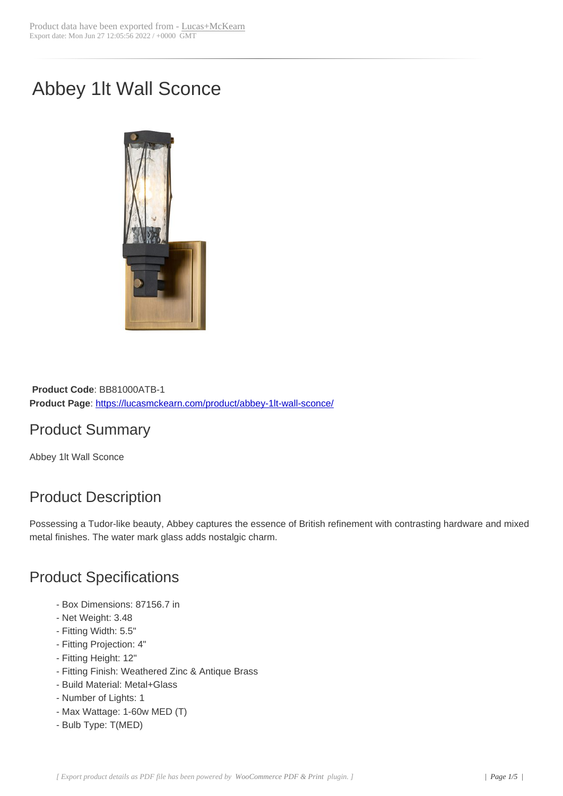# Abbey 1lt Wall Sconce



**Product Code**: BB81000ATB-1 **Product Page**: https://lucasmckearn.com/product/abbey-1lt-wall-sconce/

### Product Summary

Abbey 1lt Wall [Sconce](https://lucasmckearn.com/product/abbey-1lt-wall-sconce/)

### Product Description

Possessing a Tudor-like beauty, Abbey captures the essence of British refinement with contrasting hardware and mixed metal finishes. The water mark glass adds nostalgic charm.

#### Product Specifications

- Box Dimensions: 87156.7 in
- Net Weight: 3.48
- Fitting Width: 5.5"
- Fitting Projection: 4"
- Fitting Height: 12"
- Fitting Finish: Weathered Zinc & Antique Brass
- Build Material: Metal+Glass
- Number of Lights: 1
- Max Wattage: 1-60w MED (T)
- Bulb Type: T(MED)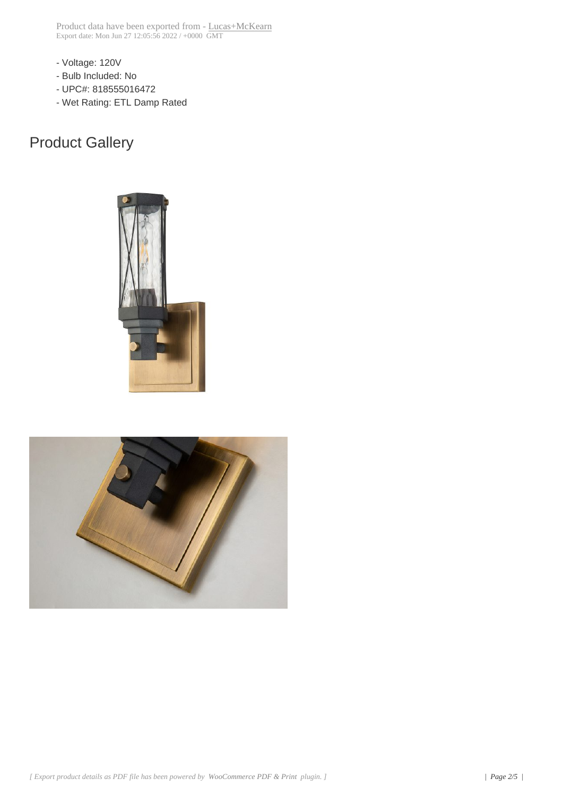- Voltage: 120V
- Bulb Included: No
- UPC#: 818555016472
- Wet Rating: ETL Damp Rated

## Product Gallery



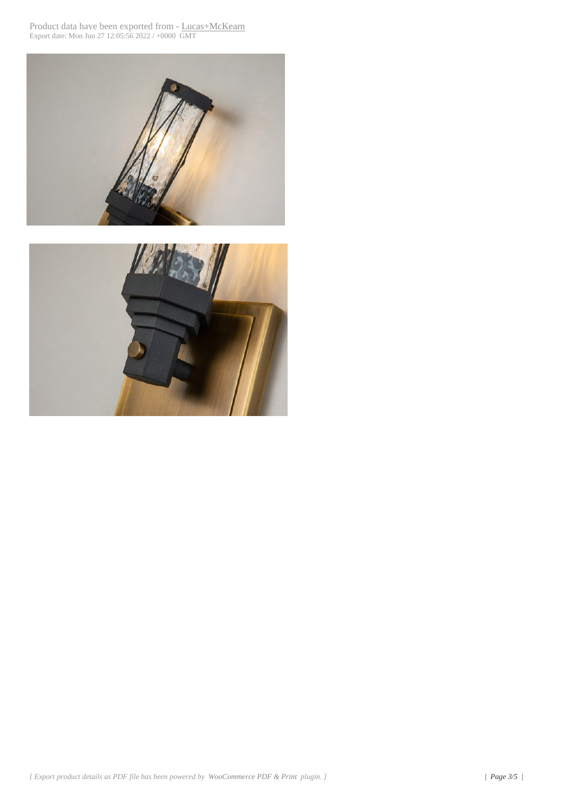

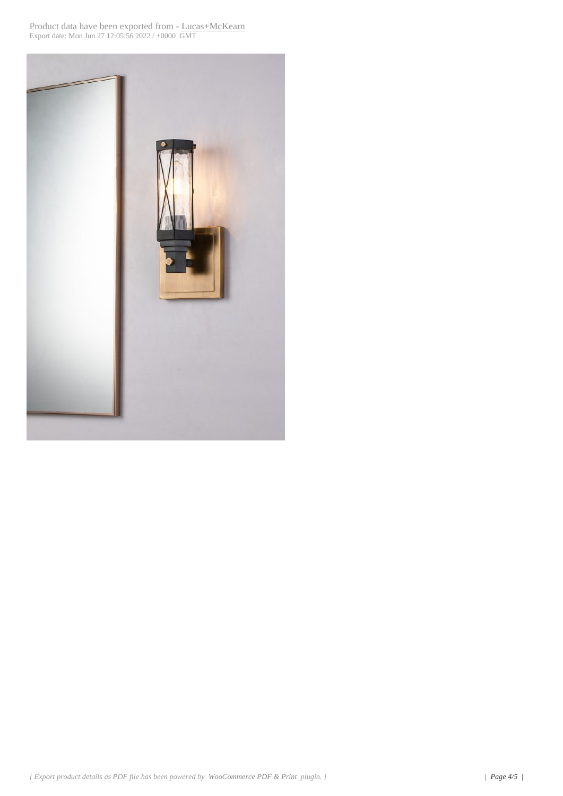